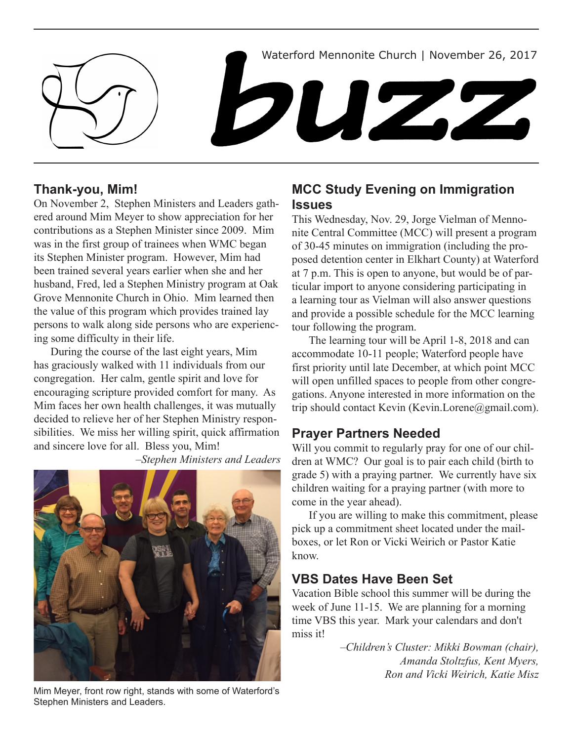Waterford Mennonite Church | November 26, 2017



## **Thank-you, Mim!**

On November 2, Stephen Ministers and Leaders gathered around Mim Meyer to show appreciation for her contributions as a Stephen Minister since 2009. Mim was in the first group of trainees when WMC began its Stephen Minister program. However, Mim had been trained several years earlier when she and her husband, Fred, led a Stephen Ministry program at Oak Grove Mennonite Church in Ohio. Mim learned then the value of this program which provides trained lay persons to walk along side persons who are experiencing some difficulty in their life.

During the course of the last eight years, Mim has graciously walked with 11 individuals from our congregation. Her calm, gentle spirit and love for encouraging scripture provided comfort for many. As Mim faces her own health challenges, it was mutually decided to relieve her of her Stephen Ministry responsibilities. We miss her willing spirit, quick affirmation and sincere love for all. Bless you, Mim!



*–Stephen Ministers and Leaders*

Mim Meyer, front row right, stands with some of Waterford's Stephen Ministers and Leaders.

# **MCC Study Evening on Immigration Issues**

This Wednesday, Nov. 29, Jorge Vielman of Mennonite Central Committee (MCC) will present a program of 30-45 minutes on immigration (including the proposed detention center in Elkhart County) at Waterford at 7 p.m. This is open to anyone, but would be of particular import to anyone considering participating in a learning tour as Vielman will also answer questions and provide a possible schedule for the MCC learning tour following the program.

The learning tour will be April 1-8, 2018 and can accommodate 10-11 people; Waterford people have first priority until late December, at which point MCC will open unfilled spaces to people from other congregations. Anyone interested in more information on the trip should contact Kevin (Kevin.Lorene@gmail.com).

## **Prayer Partners Needed**

Will you commit to regularly pray for one of our children at WMC? Our goal is to pair each child (birth to grade 5) with a praying partner. We currently have six children waiting for a praying partner (with more to come in the year ahead).

If you are willing to make this commitment, please pick up a commitment sheet located under the mailboxes, or let Ron or Vicki Weirich or Pastor Katie know.

# **VBS Dates Have Been Set**

Vacation Bible school this summer will be during the week of June 11-15. We are planning for a morning time VBS this year. Mark your calendars and don't miss it!

> *–Children's Cluster: Mikki Bowman (chair), Amanda Stoltzfus, Kent Myers, Ron and Vicki Weirich, Katie Misz*